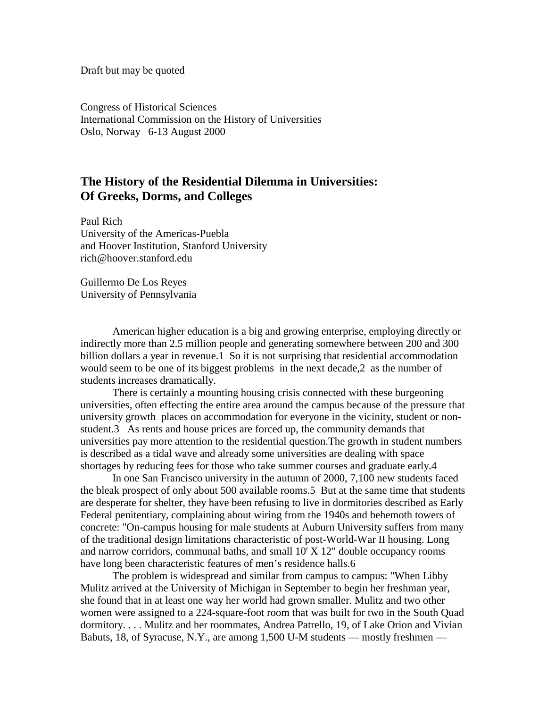Draft but may be quoted

Congress of Historical Sciences International Commission on the History of Universities Oslo, Norway 6-13 August 2000

## **The History of the Residential Dilemma in Universities: Of Greeks, Dorms, and Colleges**

Paul Rich University of the Americas-Puebla and Hoover Institution, Stanford University rich@hoover.stanford.edu

Guillermo De Los Reyes University of Pennsylvania

American higher education is a big and growing enterprise, employing directly or indirectly more than 2.5 million people and generating somewhere between 200 and 300 billion dollars a year in revenue.1 So it is not surprising that residential accommodation would seem to be one of its biggest problems in the next decade,2 as the number of students increases dramatically.

There is certainly a mounting housing crisis connected with these burgeoning universities, often effecting the entire area around the campus because of the pressure that university growth places on accommodation for everyone in the vicinity, student or nonstudent.3 As rents and house prices are forced up, the community demands that universities pay more attention to the residential question.The growth in student numbers is described as a tidal wave and already some universities are dealing with space shortages by reducing fees for those who take summer courses and graduate early.4

In one San Francisco university in the autumn of 2000, 7,100 new students faced the bleak prospect of only about 500 available rooms.5 But at the same time that students are desperate for shelter, they have been refusing to live in dormitories described as Early Federal penitentiary, complaining about wiring from the 1940s and behemoth towers of concrete: "On-campus housing for male students at Auburn University suffers from many of the traditional design limitations characteristic of post-World-War II housing. Long and narrow corridors, communal baths, and small 10' X 12" double occupancy rooms have long been characteristic features of men's residence halls.6

The problem is widespread and similar from campus to campus: "When Libby Mulitz arrived at the University of Michigan in September to begin her freshman year, she found that in at least one way her world had grown smaller. Mulitz and two other women were assigned to a 224-square-foot room that was built for two in the South Quad dormitory. . . . Mulitz and her roommates, Andrea Patrello, 19, of Lake Orion and Vivian Babuts, 18, of Syracuse, N.Y., are among 1,500 U-M students — mostly freshmen —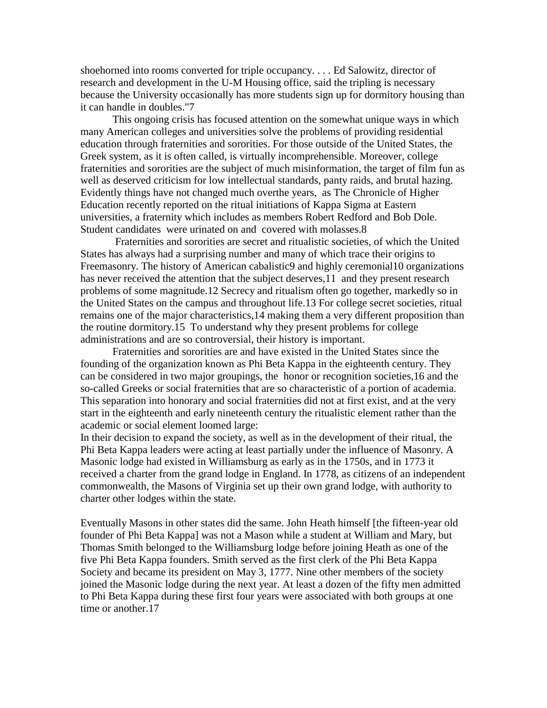shoehorned into rooms converted for triple occupancy. . . . Ed Salowitz, director of research and development in the U-M Housing office, said the tripling is necessary because the University occasionally has more students sign up for dormitory housing than it can handle in doubles."7

This ongoing crisis has focused attention on the somewhat unique ways in which many American colleges and universities solve the problems of providing residential education through fraternities and sororities. For those outside of the United States, the Greek system, as it is often called, is virtually incomprehensible. Moreover, college fraternities and sororities are the subject of much misinformation, the target of film fun as well as deserved criticism for low intellectual standards, panty raids, and brutal hazing. Evidently things have not changed much overthe years, as The Chronicle of Higher Education recently reported on the ritual initiations of Kappa Sigma at Eastern universities, a fraternity which includes as members Robert Redford and Bob Dole. Student candidates were urinated on and covered with molasses.8

 Fraternities and sororities are secret and ritualistic societies, of which the United States has always had a surprising number and many of which trace their origins to Freemasonry. The history of American cabalistic9 and highly ceremonial10 organizations has never received the attention that the subject deserves, 11 and they present research problems of some magnitude.12 Secrecy and ritualism often go together, markedly so in the United States on the campus and throughout life.13 For college secret societies, ritual remains one of the major characteristics,14 making them a very different proposition than the routine dormitory.15 To understand why they present problems for college administrations and are so controversial, their history is important.

Fraternities and sororities are and have existed in the United States since the founding of the organization known as Phi Beta Kappa in the eighteenth century. They can be considered in two major groupings, the honor or recognition societies,16 and the so-called Greeks or social fraternities that are so characteristic of a portion of academia. This separation into honorary and social fraternities did not at first exist, and at the very start in the eighteenth and early nineteenth century the ritualistic element rather than the academic or social element loomed large:

In their decision to expand the society, as well as in the development of their ritual, the Phi Beta Kappa leaders were acting at least partially under the influence of Masonry. A Masonic lodge had existed in Williamsburg as early as in the 1750s, and in 1773 it received a charter from the grand lodge in England. In 1778, as citizens of an independent commonwealth, the Masons of Virginia set up their own grand lodge, with authority to charter other lodges within the state.

Eventually Masons in other states did the same. John Heath himself [the fifteen-year old founder of Phi Beta Kappa] was not a Mason while a student at William and Mary, but Thomas Smith belonged to the Williamsburg lodge before joining Heath as one of the five Phi Beta Kappa founders. Smith served as the first clerk of the Phi Beta Kappa Society and became its president on May 3, 1777. Nine other members of the society joined the Masonic lodge during the next year. At least a dozen of the fifty men admitted to Phi Beta Kappa during these first four years were associated with both groups at one time or another.17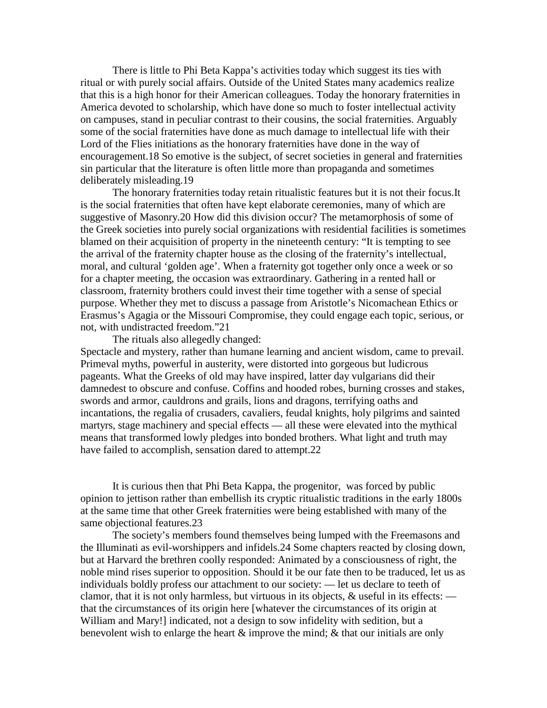There is little to Phi Beta Kappa's activities today which suggest its ties with ritual or with purely social affairs. Outside of the United States many academics realize that this is a high honor for their American colleagues. Today the honorary fraternities in America devoted to scholarship, which have done so much to foster intellectual activity on campuses, stand in peculiar contrast to their cousins, the social fraternities. Arguably some of the social fraternities have done as much damage to intellectual life with their Lord of the Flies initiations as the honorary fraternities have done in the way of encouragement.18 So emotive is the subject, of secret societies in general and fraternities sin particular that the literature is often little more than propaganda and sometimes deliberately misleading.19

The honorary fraternities today retain ritualistic features but it is not their focus.It is the social fraternities that often have kept elaborate ceremonies, many of which are suggestive of Masonry.20 How did this division occur? The metamorphosis of some of the Greek societies into purely social organizations with residential facilities is sometimes blamed on their acquisition of property in the nineteenth century: "It is tempting to see the arrival of the fraternity chapter house as the closing of the fraternity's intellectual, moral, and cultural 'golden age'. When a fraternity got together only once a week or so for a chapter meeting, the occasion was extraordinary. Gathering in a rented hall or classroom, fraternity brothers could invest their time together with a sense of special purpose. Whether they met to discuss a passage from Aristotle's Nicomachean Ethics or Erasmus's Agagia or the Missouri Compromise, they could engage each topic, serious, or not, with undistracted freedom."21

The rituals also allegedly changed: Spectacle and mystery, rather than humane learning and ancient wisdom, came to prevail. Primeval myths, powerful in austerity, were distorted into gorgeous but ludicrous pageants. What the Greeks of old may have inspired, latter day vulgarians did their damnedest to obscure and confuse. Coffins and hooded robes, burning crosses and stakes, swords and armor, cauldrons and grails, lions and dragons, terrifying oaths and incantations, the regalia of crusaders, cavaliers, feudal knights, holy pilgrims and sainted martyrs, stage machinery and special effects — all these were elevated into the mythical means that transformed lowly pledges into bonded brothers. What light and truth may have failed to accomplish, sensation dared to attempt.22

It is curious then that Phi Beta Kappa, the progenitor, was forced by public opinion to jettison rather than embellish its cryptic ritualistic traditions in the early 1800s at the same time that other Greek fraternities were being established with many of the same objectional features.23

The society's members found themselves being lumped with the Freemasons and the Illuminati as evil-worshippers and infidels.24 Some chapters reacted by closing down, but at Harvard the brethren coolly responded: Animated by a consciousness of right, the noble mind rises superior to opposition. Should it be our fate then to be traduced, let us as individuals boldly profess our attachment to our society: — let us declare to teeth of clamor, that it is not only harmless, but virtuous in its objects,  $\&$  useful in its effects: that the circumstances of its origin here [whatever the circumstances of its origin at William and Mary!] indicated, not a design to sow infidelity with sedition, but a benevolent wish to enlarge the heart & improve the mind; & that our initials are only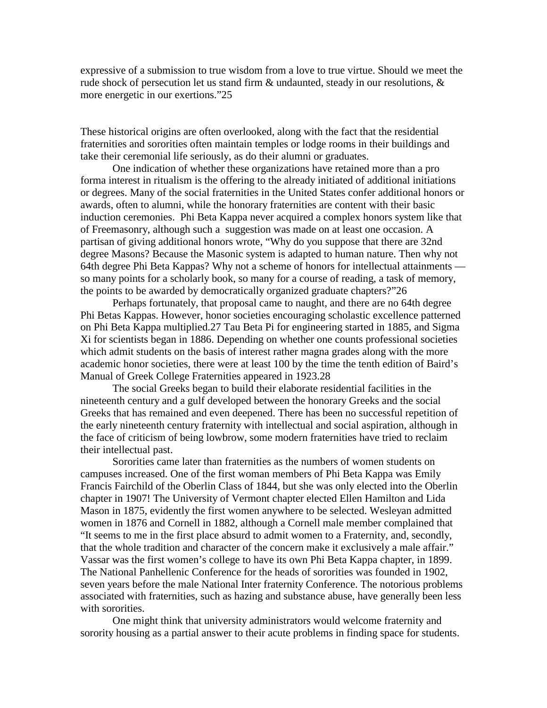expressive of a submission to true wisdom from a love to true virtue. Should we meet the rude shock of persecution let us stand firm & undaunted, steady in our resolutions, & more energetic in our exertions."25

These historical origins are often overlooked, along with the fact that the residential fraternities and sororities often maintain temples or lodge rooms in their buildings and take their ceremonial life seriously, as do their alumni or graduates.

One indication of whether these organizations have retained more than a pro forma interest in ritualism is the offering to the already initiated of additional initiations or degrees. Many of the social fraternities in the United States confer additional honors or awards, often to alumni, while the honorary fraternities are content with their basic induction ceremonies. Phi Beta Kappa never acquired a complex honors system like that of Freemasonry, although such a suggestion was made on at least one occasion. A partisan of giving additional honors wrote, "Why do you suppose that there are 32nd degree Masons? Because the Masonic system is adapted to human nature. Then why not 64th degree Phi Beta Kappas? Why not a scheme of honors for intellectual attainments so many points for a scholarly book, so many for a course of reading, a task of memory, the points to be awarded by democratically organized graduate chapters?"26

Perhaps fortunately, that proposal came to naught, and there are no 64th degree Phi Betas Kappas. However, honor societies encouraging scholastic excellence patterned on Phi Beta Kappa multiplied.27 Tau Beta Pi for engineering started in 1885, and Sigma Xi for scientists began in 1886. Depending on whether one counts professional societies which admit students on the basis of interest rather magna grades along with the more academic honor societies, there were at least 100 by the time the tenth edition of Baird's Manual of Greek College Fraternities appeared in 1923.28

The social Greeks began to build their elaborate residential facilities in the nineteenth century and a gulf developed between the honorary Greeks and the social Greeks that has remained and even deepened. There has been no successful repetition of the early nineteenth century fraternity with intellectual and social aspiration, although in the face of criticism of being lowbrow, some modern fraternities have tried to reclaim their intellectual past.

Sororities came later than fraternities as the numbers of women students on campuses increased. One of the first woman members of Phi Beta Kappa was Emily Francis Fairchild of the Oberlin Class of 1844, but she was only elected into the Oberlin chapter in 1907! The University of Vermont chapter elected Ellen Hamilton and Lida Mason in 1875, evidently the first women anywhere to be selected. Wesleyan admitted women in 1876 and Cornell in 1882, although a Cornell male member complained that "It seems to me in the first place absurd to admit women to a Fraternity, and, secondly, that the whole tradition and character of the concern make it exclusively a male affair." Vassar was the first women's college to have its own Phi Beta Kappa chapter, in 1899. The National Panhellenic Conference for the heads of sororities was founded in 1902, seven years before the male National Inter fraternity Conference. The notorious problems associated with fraternities, such as hazing and substance abuse, have generally been less with sororities.

One might think that university administrators would welcome fraternity and sorority housing as a partial answer to their acute problems in finding space for students.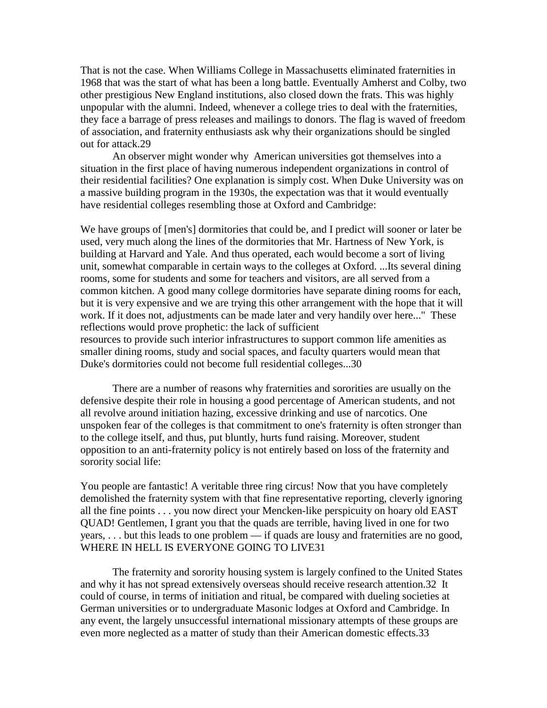That is not the case. When Williams College in Massachusetts eliminated fraternities in 1968 that was the start of what has been a long battle. Eventually Amherst and Colby, two other prestigious New England institutions, also closed down the frats. This was highly unpopular with the alumni. Indeed, whenever a college tries to deal with the fraternities, they face a barrage of press releases and mailings to donors. The flag is waved of freedom of association, and fraternity enthusiasts ask why their organizations should be singled out for attack.29

An observer might wonder why American universities got themselves into a situation in the first place of having numerous independent organizations in control of their residential facilities? One explanation is simply cost. When Duke University was on a massive building program in the 1930s, the expectation was that it would eventually have residential colleges resembling those at Oxford and Cambridge:

We have groups of [men's] dormitories that could be, and I predict will sooner or later be used, very much along the lines of the dormitories that Mr. Hartness of New York, is building at Harvard and Yale. And thus operated, each would become a sort of living unit, somewhat comparable in certain ways to the colleges at Oxford. ...Its several dining rooms, some for students and some for teachers and visitors, are all served from a common kitchen. A good many college dormitories have separate dining rooms for each, but it is very expensive and we are trying this other arrangement with the hope that it will work. If it does not, adjustments can be made later and very handily over here..." These reflections would prove prophetic: the lack of sufficient resources to provide such interior infrastructures to support common life amenities as smaller dining rooms, study and social spaces, and faculty quarters would mean that Duke's dormitories could not become full residential colleges...30

There are a number of reasons why fraternities and sororities are usually on the defensive despite their role in housing a good percentage of American students, and not all revolve around initiation hazing, excessive drinking and use of narcotics. One unspoken fear of the colleges is that commitment to one's fraternity is often stronger than to the college itself, and thus, put bluntly, hurts fund raising. Moreover, student opposition to an anti-fraternity policy is not entirely based on loss of the fraternity and sorority social life:

You people are fantastic! A veritable three ring circus! Now that you have completely demolished the fraternity system with that fine representative reporting, cleverly ignoring all the fine points . . . you now direct your Mencken-like perspicuity on hoary old EAST QUAD! Gentlemen, I grant you that the quads are terrible, having lived in one for two years, . . . but this leads to one problem — if quads are lousy and fraternities are no good, WHERE IN HELL IS EVERYONE GOING TO LIVE31

The fraternity and sorority housing system is largely confined to the United States and why it has not spread extensively overseas should receive research attention.32 It could of course, in terms of initiation and ritual, be compared with dueling societies at German universities or to undergraduate Masonic lodges at Oxford and Cambridge. In any event, the largely unsuccessful international missionary attempts of these groups are even more neglected as a matter of study than their American domestic effects.33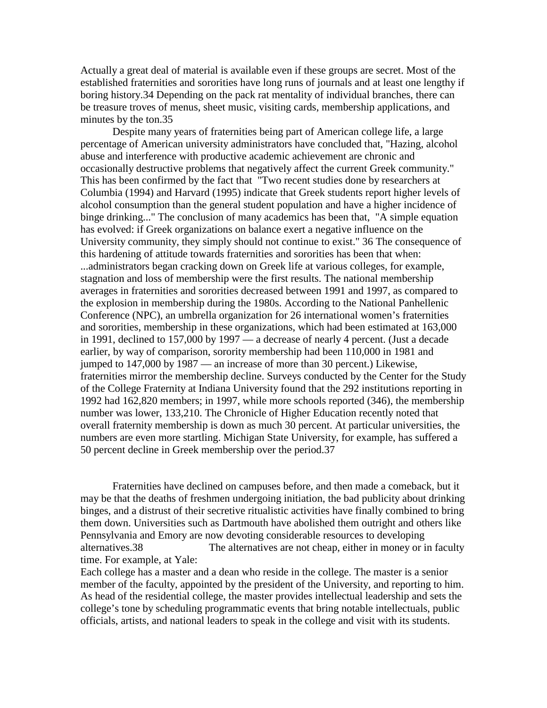Actually a great deal of material is available even if these groups are secret. Most of the established fraternities and sororities have long runs of journals and at least one lengthy if boring history.34 Depending on the pack rat mentality of individual branches, there can be treasure troves of menus, sheet music, visiting cards, membership applications, and minutes by the ton.35

Despite many years of fraternities being part of American college life, a large percentage of American university administrators have concluded that, "Hazing, alcohol abuse and interference with productive academic achievement are chronic and occasionally destructive problems that negatively affect the current Greek community." This has been confirmed by the fact that "Two recent studies done by researchers at Columbia (1994) and Harvard (1995) indicate that Greek students report higher levels of alcohol consumption than the general student population and have a higher incidence of binge drinking..." The conclusion of many academics has been that, "A simple equation has evolved: if Greek organizations on balance exert a negative influence on the University community, they simply should not continue to exist." 36 The consequence of this hardening of attitude towards fraternities and sororities has been that when: ...administrators began cracking down on Greek life at various colleges, for example, stagnation and loss of membership were the first results. The national membership averages in fraternities and sororities decreased between 1991 and 1997, as compared to the explosion in membership during the 1980s. According to the National Panhellenic Conference (NPC), an umbrella organization for 26 international women's fraternities and sororities, membership in these organizations, which had been estimated at 163,000 in 1991, declined to 157,000 by 1997 — a decrease of nearly 4 percent. (Just a decade earlier, by way of comparison, sorority membership had been 110,000 in 1981 and jumped to 147,000 by 1987 — an increase of more than 30 percent.) Likewise, fraternities mirror the membership decline. Surveys conducted by the Center for the Study of the College Fraternity at Indiana University found that the 292 institutions reporting in 1992 had 162,820 members; in 1997, while more schools reported (346), the membership number was lower, 133,210. The Chronicle of Higher Education recently noted that overall fraternity membership is down as much 30 percent. At particular universities, the numbers are even more startling. Michigan State University, for example, has suffered a 50 percent decline in Greek membership over the period.37

Fraternities have declined on campuses before, and then made a comeback, but it may be that the deaths of freshmen undergoing initiation, the bad publicity about drinking binges, and a distrust of their secretive ritualistic activities have finally combined to bring them down. Universities such as Dartmouth have abolished them outright and others like Pennsylvania and Emory are now devoting considerable resources to developing alternatives.38 The alternatives are not cheap, either in money or in faculty time. For example, at Yale:

Each college has a master and a dean who reside in the college. The master is a senior member of the faculty, appointed by the president of the University, and reporting to him. As head of the residential college, the master provides intellectual leadership and sets the college's tone by scheduling programmatic events that bring notable intellectuals, public officials, artists, and national leaders to speak in the college and visit with its students.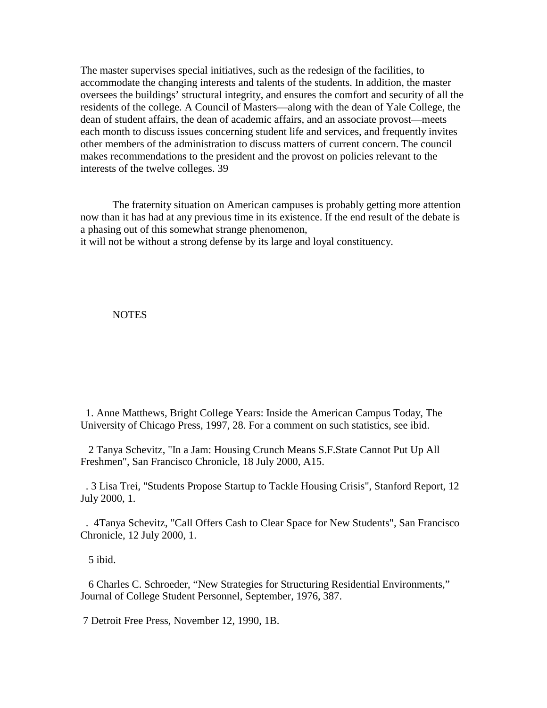The master supervises special initiatives, such as the redesign of the facilities, to accommodate the changing interests and talents of the students. In addition, the master oversees the buildings' structural integrity, and ensures the comfort and security of all the residents of the college. A Council of Masters—along with the dean of Yale College, the dean of student affairs, the dean of academic affairs, and an associate provost—meets each month to discuss issues concerning student life and services, and frequently invites other members of the administration to discuss matters of current concern. The council makes recommendations to the president and the provost on policies relevant to the interests of the twelve colleges. 39

The fraternity situation on American campuses is probably getting more attention now than it has had at any previous time in its existence. If the end result of the debate is a phasing out of this somewhat strange phenomenon,

it will not be without a strong defense by its large and loyal constituency.

## **NOTES**

 1. Anne Matthews, Bright College Years: Inside the American Campus Today, The University of Chicago Press, 1997, 28. For a comment on such statistics, see ibid.

 2 Tanya Schevitz, "In a Jam: Housing Crunch Means S.F.State Cannot Put Up All Freshmen", San Francisco Chronicle, 18 July 2000, A15.

 . 3 Lisa Trei, "Students Propose Startup to Tackle Housing Crisis", Stanford Report, 12 July 2000, 1.

 . 4Tanya Schevitz, "Call Offers Cash to Clear Space for New Students", San Francisco Chronicle, 12 July 2000, 1.

5 ibid.

 6 Charles C. Schroeder, "New Strategies for Structuring Residential Environments," Journal of College Student Personnel, September, 1976, 387.

7 Detroit Free Press, November 12, 1990, 1B.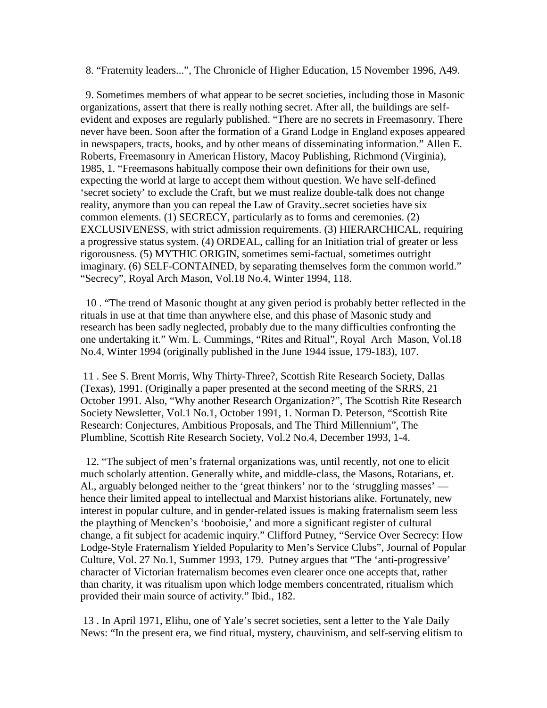8. "Fraternity leaders...", The Chronicle of Higher Education, 15 November 1996, A49.

 9. Sometimes members of what appear to be secret societies, including those in Masonic organizations, assert that there is really nothing secret. After all, the buildings are selfevident and exposes are regularly published. "There are no secrets in Freemasonry. There never have been. Soon after the formation of a Grand Lodge in England exposes appeared in newspapers, tracts, books, and by other means of disseminating information." Allen E. Roberts, Freemasonry in American History, Macoy Publishing, Richmond (Virginia), 1985, 1. "Freemasons habitually compose their own definitions for their own use, expecting the world at large to accept them without question. We have self-defined 'secret society' to exclude the Craft, but we must realize double-talk does not change reality, anymore than you can repeal the Law of Gravity..secret societies have six common elements. (1) SECRECY, particularly as to forms and ceremonies. (2) EXCLUSIVENESS, with strict admission requirements. (3) HIERARCHICAL, requiring a progressive status system. (4) ORDEAL, calling for an Initiation trial of greater or less rigorousness. (5) MYTHIC ORIGIN, sometimes semi-factual, sometimes outright imaginary. (6) SELF-CONTAINED, by separating themselves form the common world." "Secrecy", Royal Arch Mason, Vol.18 No.4, Winter 1994, 118.

 10 . "The trend of Masonic thought at any given period is probably better reflected in the rituals in use at that time than anywhere else, and this phase of Masonic study and research has been sadly neglected, probably due to the many difficulties confronting the one undertaking it." Wm. L. Cummings, "Rites and Ritual", Royal Arch Mason, Vol.18 No.4, Winter 1994 (originally published in the June 1944 issue, 179-183), 107.

 11 . See S. Brent Morris, Why Thirty-Three?, Scottish Rite Research Society, Dallas (Texas), 1991. (Originally a paper presented at the second meeting of the SRRS, 21 October 1991. Also, "Why another Research Organization?", The Scottish Rite Research Society Newsletter, Vol.1 No.1, October 1991, 1. Norman D. Peterson, "Scottish Rite Research: Conjectures, Ambitious Proposals, and The Third Millennium", The Plumbline, Scottish Rite Research Society, Vol.2 No.4, December 1993, 1-4.

 12. "The subject of men's fraternal organizations was, until recently, not one to elicit much scholarly attention. Generally white, and middle-class, the Masons, Rotarians, et. Al., arguably belonged neither to the 'great thinkers' nor to the 'struggling masses' hence their limited appeal to intellectual and Marxist historians alike. Fortunately, new interest in popular culture, and in gender-related issues is making fraternalism seem less the plaything of Mencken's 'booboisie,' and more a significant register of cultural change, a fit subject for academic inquiry." Clifford Putney, "Service Over Secrecy: How Lodge-Style Fraternalism Yielded Popularity to Men's Service Clubs", Journal of Popular Culture, Vol. 27 No.1, Summer 1993, 179. Putney argues that "The 'anti-progressive' character of Victorian fraternalism becomes even clearer once one accepts that, rather than charity, it was ritualism upon which lodge members concentrated, ritualism which provided their main source of activity." Ibid., 182.

 13 . In April 1971, Elihu, one of Yale's secret societies, sent a letter to the Yale Daily News: "In the present era, we find ritual, mystery, chauvinism, and self-serving elitism to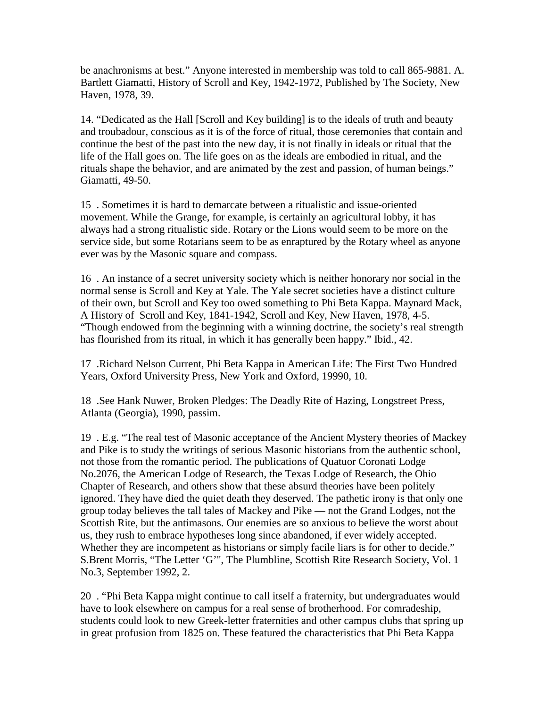be anachronisms at best." Anyone interested in membership was told to call 865-9881. A. Bartlett Giamatti, History of Scroll and Key, 1942-1972, Published by The Society, New Haven, 1978, 39.

14. "Dedicated as the Hall [Scroll and Key building] is to the ideals of truth and beauty and troubadour, conscious as it is of the force of ritual, those ceremonies that contain and continue the best of the past into the new day, it is not finally in ideals or ritual that the life of the Hall goes on. The life goes on as the ideals are embodied in ritual, and the rituals shape the behavior, and are animated by the zest and passion, of human beings." Giamatti, 49-50.

15 . Sometimes it is hard to demarcate between a ritualistic and issue-oriented movement. While the Grange, for example, is certainly an agricultural lobby, it has always had a strong ritualistic side. Rotary or the Lions would seem to be more on the service side, but some Rotarians seem to be as enraptured by the Rotary wheel as anyone ever was by the Masonic square and compass.

16 . An instance of a secret university society which is neither honorary nor social in the normal sense is Scroll and Key at Yale. The Yale secret societies have a distinct culture of their own, but Scroll and Key too owed something to Phi Beta Kappa. Maynard Mack, A History of Scroll and Key, 1841-1942, Scroll and Key, New Haven, 1978, 4-5. "Though endowed from the beginning with a winning doctrine, the society's real strength has flourished from its ritual, in which it has generally been happy." Ibid., 42.

17 .Richard Nelson Current, Phi Beta Kappa in American Life: The First Two Hundred Years, Oxford University Press, New York and Oxford, 19990, 10.

18 .See Hank Nuwer, Broken Pledges: The Deadly Rite of Hazing, Longstreet Press, Atlanta (Georgia), 1990, passim.

19 . E.g. "The real test of Masonic acceptance of the Ancient Mystery theories of Mackey and Pike is to study the writings of serious Masonic historians from the authentic school, not those from the romantic period. The publications of Quatuor Coronati Lodge No.2076, the American Lodge of Research, the Texas Lodge of Research, the Ohio Chapter of Research, and others show that these absurd theories have been politely ignored. They have died the quiet death they deserved. The pathetic irony is that only one group today believes the tall tales of Mackey and Pike — not the Grand Lodges, not the Scottish Rite, but the antimasons. Our enemies are so anxious to believe the worst about us, they rush to embrace hypotheses long since abandoned, if ever widely accepted. Whether they are incompetent as historians or simply facile liars is for other to decide." S.Brent Morris, "The Letter 'G'", The Plumbline, Scottish Rite Research Society, Vol. 1 No.3, September 1992, 2.

20 . "Phi Beta Kappa might continue to call itself a fraternity, but undergraduates would have to look elsewhere on campus for a real sense of brotherhood. For comradeship, students could look to new Greek-letter fraternities and other campus clubs that spring up in great profusion from 1825 on. These featured the characteristics that Phi Beta Kappa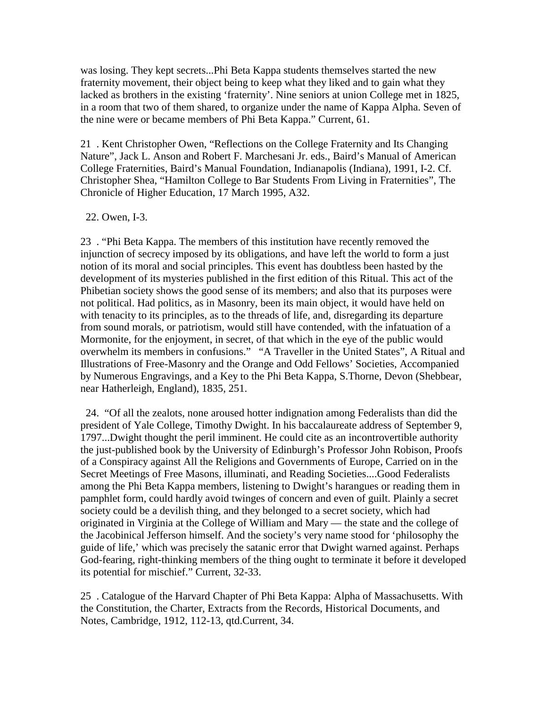was losing. They kept secrets...Phi Beta Kappa students themselves started the new fraternity movement, their object being to keep what they liked and to gain what they lacked as brothers in the existing 'fraternity'. Nine seniors at union College met in 1825, in a room that two of them shared, to organize under the name of Kappa Alpha. Seven of the nine were or became members of Phi Beta Kappa." Current, 61.

21 . Kent Christopher Owen, "Reflections on the College Fraternity and Its Changing Nature", Jack L. Anson and Robert F. Marchesani Jr. eds., Baird's Manual of American College Fraternities, Baird's Manual Foundation, Indianapolis (Indiana), 1991, I-2. Cf. Christopher Shea, "Hamilton College to Bar Students From Living in Fraternities", The Chronicle of Higher Education, 17 March 1995, A32.

22. Owen, I-3.

23 . "Phi Beta Kappa. The members of this institution have recently removed the injunction of secrecy imposed by its obligations, and have left the world to form a just notion of its moral and social principles. This event has doubtless been hasted by the development of its mysteries published in the first edition of this Ritual. This act of the Phibetian society shows the good sense of its members; and also that its purposes were not political. Had politics, as in Masonry, been its main object, it would have held on with tenacity to its principles, as to the threads of life, and, disregarding its departure from sound morals, or patriotism, would still have contended, with the infatuation of a Mormonite, for the enjoyment, in secret, of that which in the eye of the public would overwhelm its members in confusions." "A Traveller in the United States", A Ritual and Illustrations of Free-Masonry and the Orange and Odd Fellows' Societies, Accompanied by Numerous Engravings, and a Key to the Phi Beta Kappa, S.Thorne, Devon (Shebbear, near Hatherleigh, England), 1835, 251.

 24. "Of all the zealots, none aroused hotter indignation among Federalists than did the president of Yale College, Timothy Dwight. In his baccalaureate address of September 9, 1797...Dwight thought the peril imminent. He could cite as an incontrovertible authority the just-published book by the University of Edinburgh's Professor John Robison, Proofs of a Conspiracy against All the Religions and Governments of Europe, Carried on in the Secret Meetings of Free Masons, illuminati, and Reading Societies....Good Federalists among the Phi Beta Kappa members, listening to Dwight's harangues or reading them in pamphlet form, could hardly avoid twinges of concern and even of guilt. Plainly a secret society could be a devilish thing, and they belonged to a secret society, which had originated in Virginia at the College of William and Mary — the state and the college of the Jacobinical Jefferson himself. And the society's very name stood for 'philosophy the guide of life,' which was precisely the satanic error that Dwight warned against. Perhaps God-fearing, right-thinking members of the thing ought to terminate it before it developed its potential for mischief." Current, 32-33.

25 . Catalogue of the Harvard Chapter of Phi Beta Kappa: Alpha of Massachusetts. With the Constitution, the Charter, Extracts from the Records, Historical Documents, and Notes, Cambridge, 1912, 112-13, qtd.Current, 34.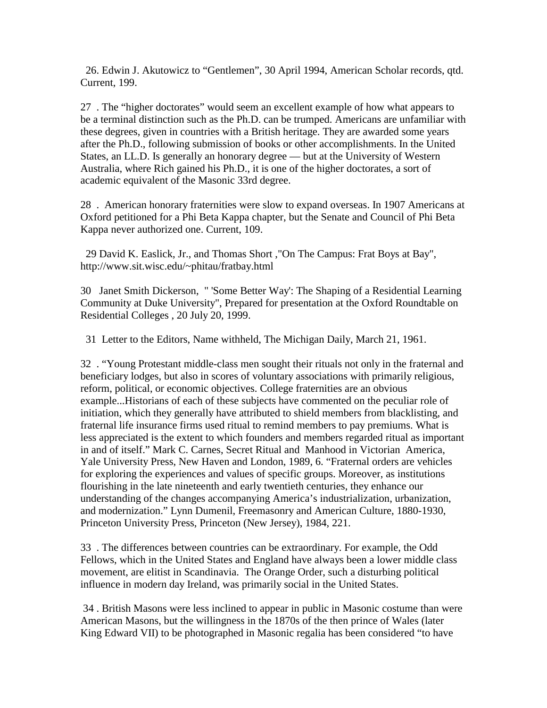26. Edwin J. Akutowicz to "Gentlemen", 30 April 1994, American Scholar records, qtd. Current, 199.

27 . The "higher doctorates" would seem an excellent example of how what appears to be a terminal distinction such as the Ph.D. can be trumped. Americans are unfamiliar with these degrees, given in countries with a British heritage. They are awarded some years after the Ph.D., following submission of books or other accomplishments. In the United States, an LL.D. Is generally an honorary degree — but at the University of Western Australia, where Rich gained his Ph.D., it is one of the higher doctorates, a sort of academic equivalent of the Masonic 33rd degree.

28 . American honorary fraternities were slow to expand overseas. In 1907 Americans at Oxford petitioned for a Phi Beta Kappa chapter, but the Senate and Council of Phi Beta Kappa never authorized one. Current, 109.

 29 David K. Easlick, Jr., and Thomas Short ,"On The Campus: Frat Boys at Bay", http://www.sit.wisc.edu/~phitau/fratbay.html

30 Janet Smith Dickerson, " 'Some Better Way': The Shaping of a Residential Learning Community at Duke University", Prepared for presentation at the Oxford Roundtable on Residential Colleges , 20 July 20, 1999.

31 Letter to the Editors, Name withheld, The Michigan Daily, March 21, 1961.

32 . "Young Protestant middle-class men sought their rituals not only in the fraternal and beneficiary lodges, but also in scores of voluntary associations with primarily religious, reform, political, or economic objectives. College fraternities are an obvious example...Historians of each of these subjects have commented on the peculiar role of initiation, which they generally have attributed to shield members from blacklisting, and fraternal life insurance firms used ritual to remind members to pay premiums. What is less appreciated is the extent to which founders and members regarded ritual as important in and of itself." Mark C. Carnes, Secret Ritual and Manhood in Victorian America, Yale University Press, New Haven and London, 1989, 6. "Fraternal orders are vehicles for exploring the experiences and values of specific groups. Moreover, as institutions flourishing in the late nineteenth and early twentieth centuries, they enhance our understanding of the changes accompanying America's industrialization, urbanization, and modernization." Lynn Dumenil, Freemasonry and American Culture, 1880-1930, Princeton University Press, Princeton (New Jersey), 1984, 221.

33 . The differences between countries can be extraordinary. For example, the Odd Fellows, which in the United States and England have always been a lower middle class movement, are elitist in Scandinavia. The Orange Order, such a disturbing political influence in modern day Ireland, was primarily social in the United States.

 34 . British Masons were less inclined to appear in public in Masonic costume than were American Masons, but the willingness in the 1870s of the then prince of Wales (later King Edward VII) to be photographed in Masonic regalia has been considered "to have